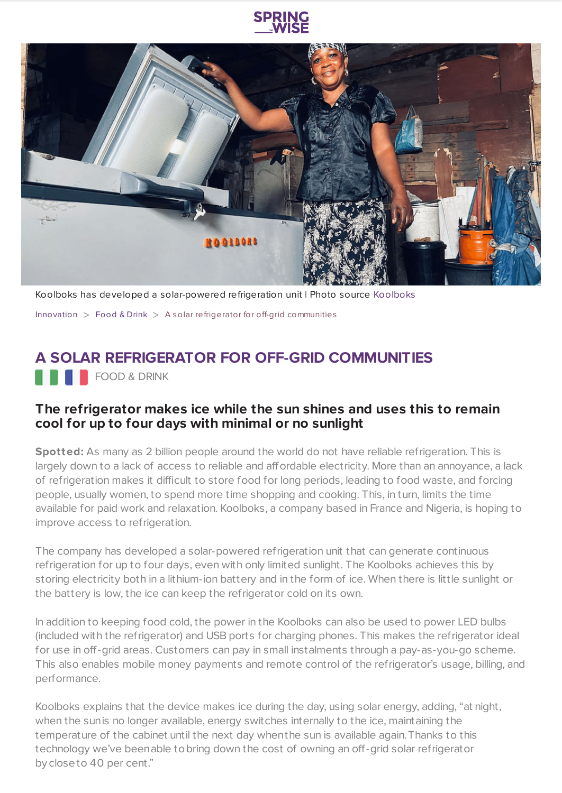

Koolboks has developed a solar-powered refrigeration unit | Photo source [Koolboks](https://www.koolboks.com/)

[Innovation](https://www.springwise.com/search?type=innovation)  $>$  [Food](https://www.springwise.com/search?type=innovation§or=food-and-drink) & Drink  $>$  A solar refrigerator for off-grid communities

## **A SOLAR REFRIGERATOR FOR OFF-GRID COMMUNITIES**

**FOOD & DRINK** 

## **The refrigerator makes ice while the sun shines and uses this to remain cool for up to four days with minimal or no sunlight**

**Spotted:** As many as 2 billion people around the world do not have reliable refrigeration. This is largely down to a lack of access to reliable and affordable electricity. More than an annoyance, a lack of refrigeration makes it difficult to store food for long periods, leading to food waste, and forcing people, usually women, to spend more time shopping and cooking. This, in turn, limits the time available for paid work and relaxation. Koolboks, a company based in France and Nigeria, is hoping to improve access to refrigeration.

The company has developed a solar-powered refrigeration unit that can generate continuous refrigeration for up to four days, even with only limited sunlight. The Koolboks achieves this by storing electricity both in a lithium-ion battery and in the form of ice. When there is little sunlight or the battery is low, the ice can keep the refrigerator cold on its own.

In addition to keeping food cold, the power in the Koolboks can also be used to power LED bulbs (included with the refrigerator) and USB ports for charging phones. This makes the refrigerator ideal for use in off-grid areas. Customers can pay in small instalments through a pay-as-you-go scheme. This also enables mobile money payments and remote control of the refrigerator's usage, billing, and performance.

Koolboks explains that the device makes ice during the day, using solar energy, adding, "at night, when the sunis no longer available, energy switches internally to the ice, maintaining the temperature of the cabinet until the next day whenthe sun is available again.Thanks to this technology we've beenable tobring down the cost of owning an off-grid solar refrigerator by closeto 40 per cent."